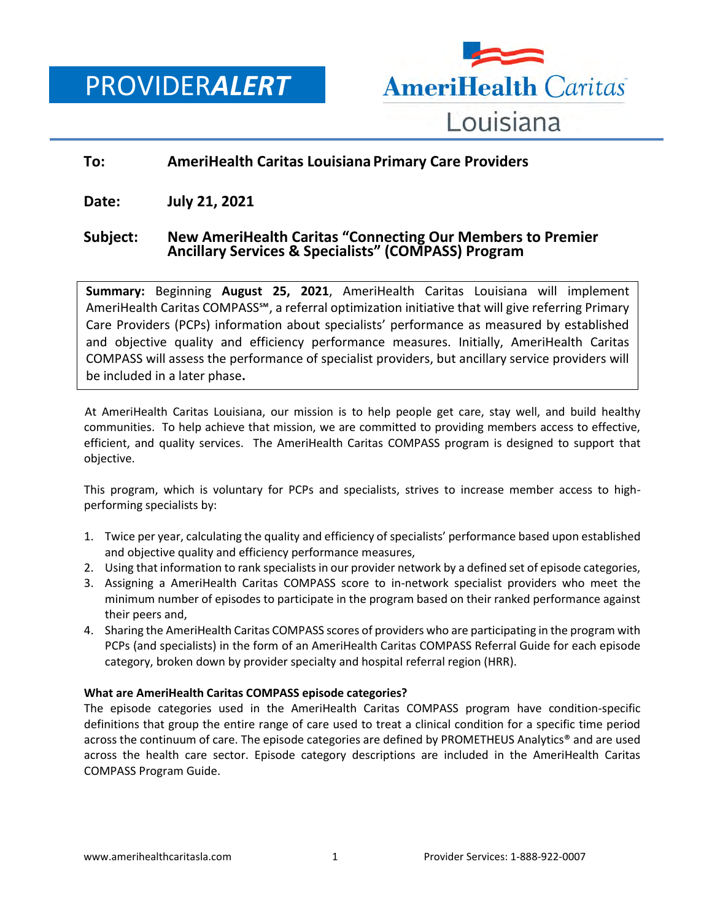# PROVIDER*ALERT*



# **To: AmeriHealth Caritas Louisiana Primary Care Providers**

**Date: July 21, 2021**

# **Subject: New AmeriHealth Caritas "Connecting Our Members to Premier Ancillary Services & Specialists" (COMPASS) Program**

**Summary:** Beginning **August 25, 2021**, AmeriHealth Caritas Louisiana will implement AmeriHealth Caritas COMPASS℠, a referral optimization initiative that will give referring Primary Care Providers (PCPs) information about specialists' performance as measured by established and objective quality and efficiency performance measures. Initially, AmeriHealth Caritas COMPASS will assess the performance of specialist providers, but ancillary service providers will be included in a later phase**.**

At AmeriHealth Caritas Louisiana, our mission is to help people get care, stay well, and build healthy communities. To help achieve that mission, we are committed to providing members access to effective, efficient, and quality services. The AmeriHealth Caritas COMPASS program is designed to support that objective.

This program, which is voluntary for PCPs and specialists, strives to increase member access to highperforming specialists by:

- 1. Twice per year, calculating the quality and efficiency of specialists' performance based upon established and objective quality and efficiency performance measures,
- 2. Using that information to rank specialists in our provider network by a defined set of episode categories,
- 3. Assigning a AmeriHealth Caritas COMPASS score to in-network specialist providers who meet the minimum number of episodes to participate in the program based on their ranked performance against their peers and,
- 4. Sharing the AmeriHealth Caritas COMPASS scores of providers who are participating in the program with PCPs (and specialists) in the form of an AmeriHealth Caritas COMPASS Referral Guide for each episode category, broken down by provider specialty and hospital referral region (HRR).

## **What are AmeriHealth Caritas COMPASS episode categories?**

The episode categories used in the AmeriHealth Caritas COMPASS program have condition-specific definitions that group the entire range of care used to treat a clinical condition for a specific time period across the continuum of care. The episode categories are defined by PROMETHEUS Analytics® and are used across the health care sector. Episode category descriptions are included in the AmeriHealth Caritas COMPASS Program Guide.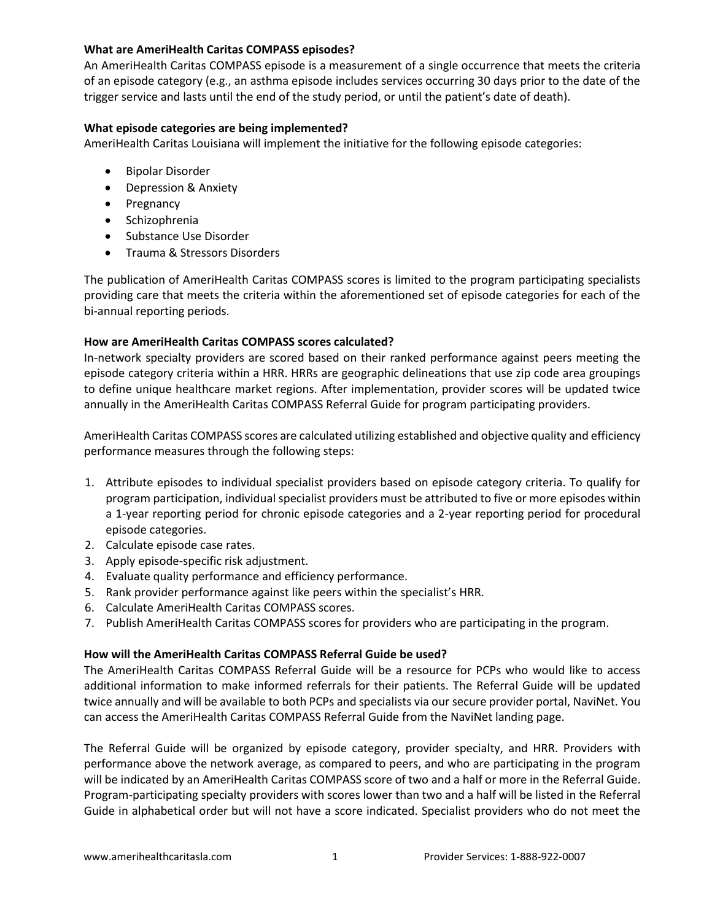#### **What are AmeriHealth Caritas COMPASS episodes?**

An AmeriHealth Caritas COMPASS episode is a measurement of a single occurrence that meets the criteria of an episode category (e.g., an asthma episode includes services occurring 30 days prior to the date of the trigger service and lasts until the end of the study period, or until the patient's date of death).

### **What episode categories are being implemented?**

AmeriHealth Caritas Louisiana will implement the initiative for the following episode categories:

- **•** Bipolar Disorder
- Depression & Anxiety
- Pregnancy
- Schizophrenia
- Substance Use Disorder
- **•** Trauma & Stressors Disorders

The publication of AmeriHealth Caritas COMPASS scores is limited to the program participating specialists providing care that meets the criteria within the aforementioned set of episode categories for each of the bi-annual reporting periods.

#### **How are AmeriHealth Caritas COMPASS scores calculated?**

In-network specialty providers are scored based on their ranked performance against peers meeting the episode category criteria within a HRR. HRRs are geographic delineations that use zip code area groupings to define unique healthcare market regions. After implementation, provider scores will be updated twice annually in the AmeriHealth Caritas COMPASS Referral Guide for program participating providers.

AmeriHealth Caritas COMPASS scores are calculated utilizing established and objective quality and efficiency performance measures through the following steps:

- 1. Attribute episodes to individual specialist providers based on episode category criteria. To qualify for program participation, individual specialist providers must be attributed to five or more episodes within a 1-year reporting period for chronic episode categories and a 2-year reporting period for procedural episode categories.
- 2. Calculate episode case rates.
- 3. Apply episode-specific risk adjustment.
- 4. Evaluate quality performance and efficiency performance.
- 5. Rank provider performance against like peers within the specialist's HRR.
- 6. Calculate AmeriHealth Caritas COMPASS scores.
- 7. Publish AmeriHealth Caritas COMPASS scores for providers who are participating in the program.

#### **How will the AmeriHealth Caritas COMPASS Referral Guide be used?**

The AmeriHealth Caritas COMPASS Referral Guide will be a resource for PCPs who would like to access additional information to make informed referrals for their patients. The Referral Guide will be updated twice annually and will be available to both PCPs and specialists via our secure provider portal, NaviNet. You can access the AmeriHealth Caritas COMPASS Referral Guide from the NaviNet landing page.

The Referral Guide will be organized by episode category, provider specialty, and HRR. Providers with performance above the network average, as compared to peers, and who are participating in the program will be indicated by an AmeriHealth Caritas COMPASS score of two and a half or more in the Referral Guide. Program-participating specialty providers with scores lower than two and a half will be listed in the Referral Guide in alphabetical order but will not have a score indicated. Specialist providers who do not meet the